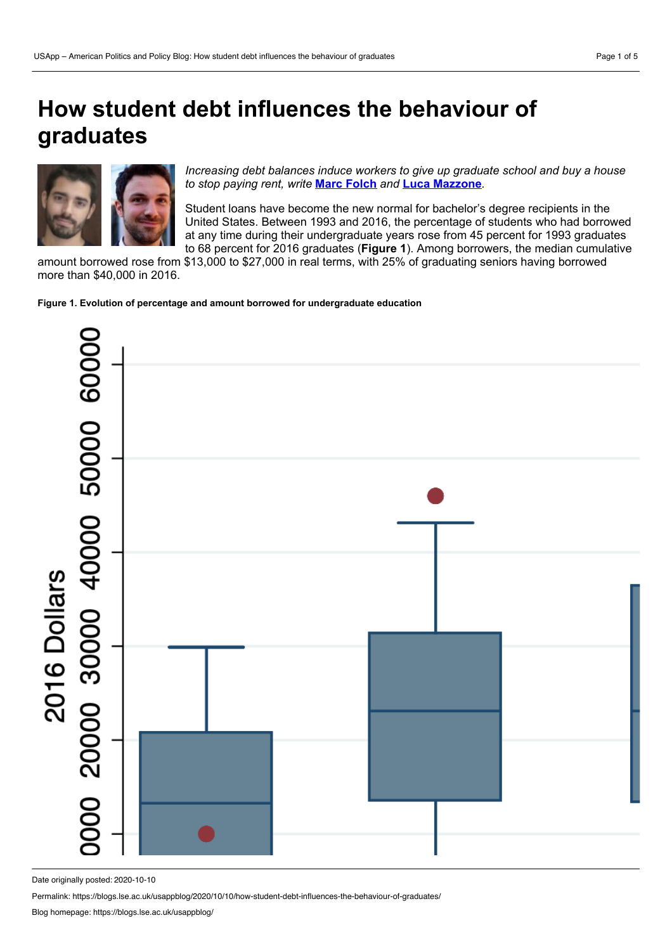## **How student debt influences the behaviour of graduates**



*Increasing debt balances induce workers to give up graduate school and buy a house to stop paying rent, write* **Marc [Folch](https://wp.me/p3I2YF-ao4#Author)** *and* **Luca [Mazzone](https://wp.me/p3I2YF-ao4#Author)***.*

Student loans have become the new normal for bachelor's degree recipients in the United States. Between 1993 and 2016, the percentage of students who had borrowed at any time during their undergraduate years rose from 45 percent for 1993 graduates to 68 percent for 2016 graduates (**Figure 1**). Among borrowers, the median cumulative

amount borrowed rose from \$13,000 to \$27,000 in real terms, with 25% of graduating seniors having borrowed more than \$40,000 in 2016.

**Figure 1. Evolution of percentage and amount borrowed for undergraduate education**



Date originally posted: 2020-10-10

Permalink: https://blogs.lse.ac.uk/usappblog/2020/10/10/how-student-debt-influences-the-behaviour-of-graduates/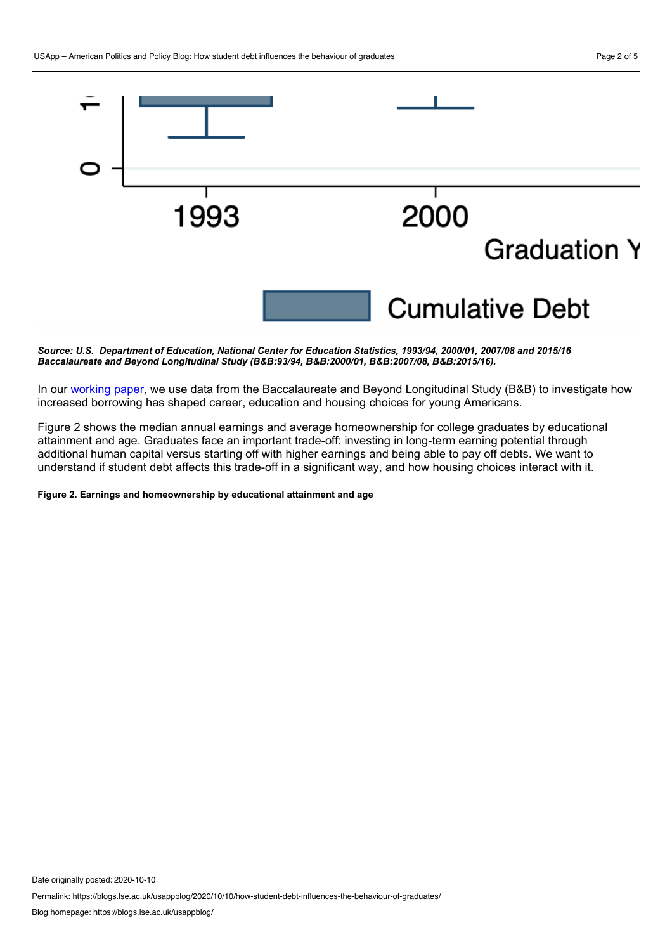

*Source: U.S. Department of Education, National Center for Education Statistics, 1993/94, 2000/01, 2007/08 and 2015/16 Baccalaureate and Beyond Longitudinal Study (B&B:93/94, B&B:2000/01, B&B:2007/08, B&B:2015/16).*

In our [working](https://github.com/lucamazzone/jm/raw/master/LM_JMP_2019.pdf) paper, we use data from the Baccalaureate and Beyond Longitudinal Study (B&B) to investigate how increased borrowing has shaped career, education and housing choices for young Americans.

Figure 2 shows the median annual earnings and average homeownership for college graduates by educational attainment and age. Graduates face an important trade-off: investing in long-term earning potential through additional human capital versus starting off with higher earnings and being able to pay off debts. We want to understand if student debt affects this trade-off in a significant way, and how housing choices interact with it.

**Figure 2. Earnings and homeownership by educational attainment and age**

Date originally posted: 2020-10-10

Permalink: https://blogs.lse.ac.uk/usappblog/2020/10/10/how-student-debt-influences-the-behaviour-of-graduates/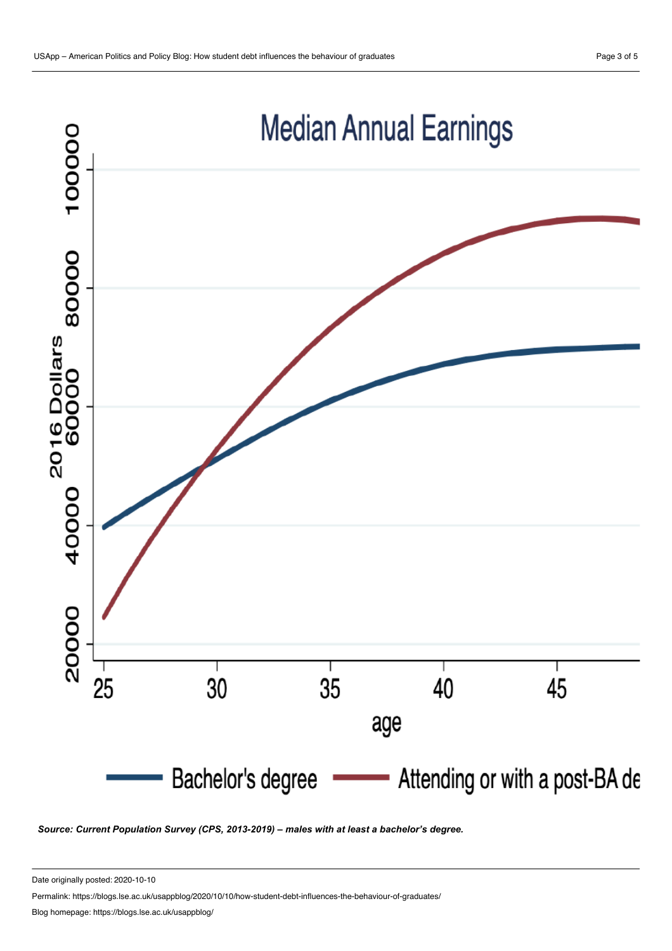

*Source: Current Population Survey (CPS, 2013-2019) – males with at least a bachelor's degree.*

Date originally posted: 2020-10-10

Permalink: https://blogs.lse.ac.uk/usappblog/2020/10/10/how-student-debt-influences-the-behaviour-of-graduates/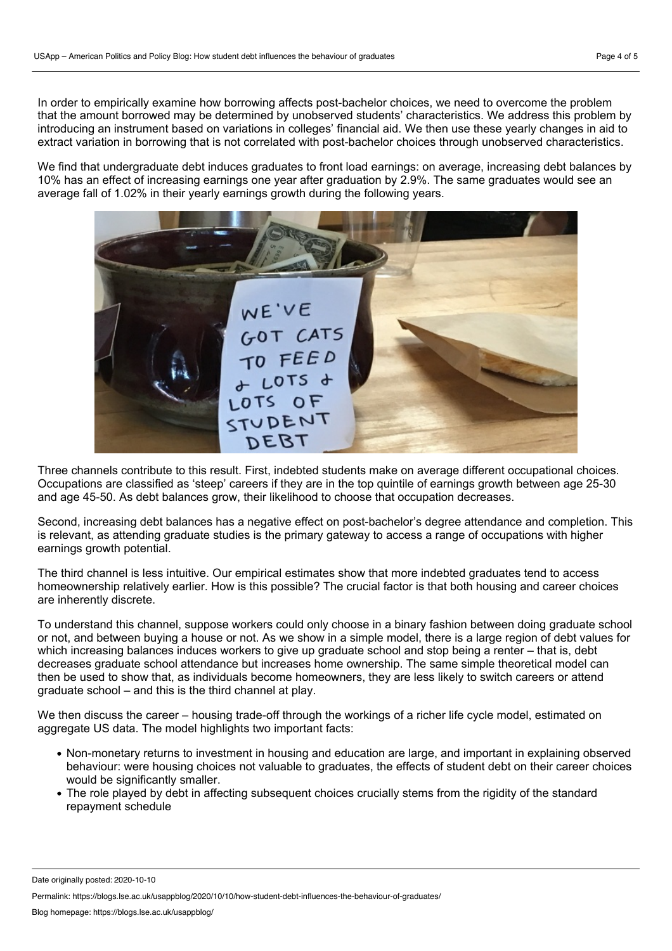In order to empirically examine how borrowing affects post-bachelor choices, we need to overcome the problem that the amount borrowed may be determined by unobserved students' characteristics. We address this problem by introducing an instrument based on variations in colleges' financial aid. We then use these yearly changes in aid to extract variation in borrowing that is not correlated with post-bachelor choices through unobserved characteristics.

We find that undergraduate debt induces graduates to front load earnings: on average, increasing debt balances by 10% has an effect of increasing earnings one year after graduation by 2.9%. The same graduates would see an average fall of 1.02% in their yearly earnings growth during the following years.



Three channels contribute to this result. First, indebted students make on average different occupational choices. Occupations are classified as 'steep' careers if they are in the top quintile of earnings growth between age 25-30 and age 45-50. As debt balances grow, their likelihood to choose that occupation decreases.

Second, increasing debt balances has a negative effect on post-bachelor's degree attendance and completion. This is relevant, as attending graduate studies is the primary gateway to access a range of occupations with higher earnings growth potential.

The third channel is less intuitive. Our empirical estimates show that more indebted graduates tend to access homeownership relatively earlier. How is this possible? The crucial factor is that both housing and career choices are inherently discrete.

To understand this channel, suppose workers could only choose in a binary fashion between doing graduate school or not, and between buying a house or not. As we show in a simple model, there is a large region of debt values for which increasing balances induces workers to give up graduate school and stop being a renter – that is, debt decreases graduate school attendance but increases home ownership. The same simple theoretical model can then be used to show that, as individuals become homeowners, they are less likely to switch careers or attend graduate school – and this is the third channel at play.

We then discuss the career – housing trade-off through the workings of a richer life cycle model, estimated on aggregate US data. The model highlights two important facts:

- Non-monetary returns to investment in housing and education are large, and important in explaining observed behaviour: were housing choices not valuable to graduates, the effects of student debt on their career choices would be significantly smaller.
- The role played by debt in affecting subsequent choices crucially stems from the rigidity of the standard repayment schedule

Permalink: https://blogs.lse.ac.uk/usappblog/2020/10/10/how-student-debt-influences-the-behaviour-of-graduates/

Date originally posted: 2020-10-10